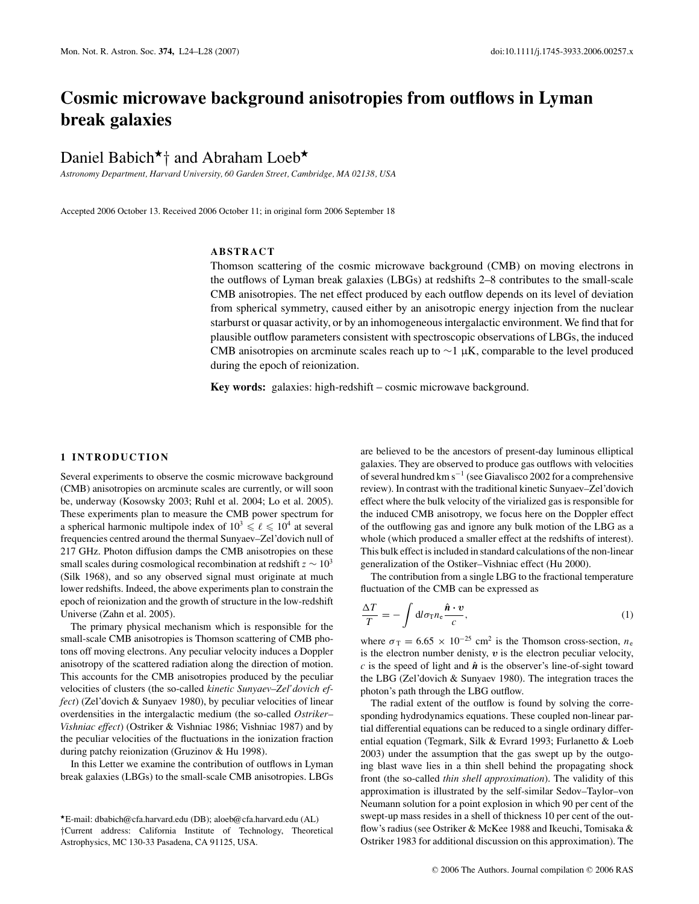# **Cosmic microwave background anisotropies from outflows in Lyman break galaxies**

Daniel Babich<sup>\*</sup><sup>†</sup> and Abraham Loeb<sup>\*</sup>

*Astronomy Department, Harvard University, 60 Garden Street, Cambridge, MA 02138, USA*

Accepted 2006 October 13. Received 2006 October 11; in original form 2006 September 18

# **ABSTRACT**

Thomson scattering of the cosmic microwave background (CMB) on moving electrons in the outflows of Lyman break galaxies (LBGs) at redshifts 2–8 contributes to the small-scale CMB anisotropies. The net effect produced by each outflow depends on its level of deviation from spherical symmetry, caused either by an anisotropic energy injection from the nuclear starburst or quasar activity, or by an inhomogeneous intergalactic environment. We find that for plausible outflow parameters consistent with spectroscopic observations of LBGs, the induced CMB anisotropies on arcminute scales reach up to  $\sim$ 1 μK, comparable to the level produced during the epoch of reionization.

**Key words:** galaxies: high-redshift – cosmic microwave background.

## **1 INTRODUCTION**

Several experiments to observe the cosmic microwave background (CMB) anisotropies on arcminute scales are currently, or will soon be, underway (Kosowsky 2003; Ruhl et al. 2004; Lo et al. 2005). These experiments plan to measure the CMB power spectrum for a spherical harmonic multipole index of  $10^3 \le \ell \le 10^4$  at several frequencies centred around the thermal Sunyaev–Zel'dovich null of 217 GHz. Photon diffusion damps the CMB anisotropies on these small scales during cosmological recombination at redshift *z* ∼ 103 (Silk 1968), and so any observed signal must originate at much lower redshifts. Indeed, the above experiments plan to constrain the epoch of reionization and the growth of structure in the low-redshift Universe (Zahn et al. 2005).

The primary physical mechanism which is responsible for the small-scale CMB anisotropies is Thomson scattering of CMB photons off moving electrons. Any peculiar velocity induces a Doppler anisotropy of the scattered radiation along the direction of motion. This accounts for the CMB anisotropies produced by the peculiar velocities of clusters (the so-called *kinetic Sunyaev–Zel'dovich effect*) (Zel'dovich & Sunyaev 1980), by peculiar velocities of linear overdensities in the intergalactic medium (the so-called *Ostriker– Vishniac effect*) (Ostriker & Vishniac 1986; Vishniac 1987) and by the peculiar velocities of the fluctuations in the ionization fraction during patchy reionization (Gruzinov & Hu 1998).

In this Letter we examine the contribution of outflows in Lyman break galaxies (LBGs) to the small-scale CMB anisotropies. LBGs are believed to be the ancestors of present-day luminous elliptical galaxies. They are observed to produce gas outflows with velocities of several hundred km s−<sup>1</sup> (see Giavalisco 2002 for a comprehensive review). In contrast with the traditional kinetic Sunyaev–Zel'dovich effect where the bulk velocity of the virialized gas is responsible for the induced CMB anisotropy, we focus here on the Doppler effect of the outflowing gas and ignore any bulk motion of the LBG as a whole (which produced a smaller effect at the redshifts of interest). This bulk effect is included in standard calculations of the non-linear generalization of the Ostiker–Vishniac effect (Hu 2000).

The contribution from a single LBG to the fractional temperature fluctuation of the CMB can be expressed as

$$
\frac{\Delta T}{T} = -\int \mathrm{d}l \sigma_{\rm T} n_{\rm e} \frac{\hat{\boldsymbol{n}} \cdot \boldsymbol{v}}{c},\tag{1}
$$

where  $\sigma_{\rm T} = 6.65 \times 10^{-25}$  cm<sup>2</sup> is the Thomson cross-section,  $n_e$ is the electron number denisty, *v* is the electron peculiar velocity,  $c$  is the speed of light and  $\hat{\boldsymbol{n}}$  is the observer's line-of-sight toward the LBG (Zel'dovich & Sunyaev 1980). The integration traces the photon's path through the LBG outflow.

The radial extent of the outflow is found by solving the corresponding hydrodynamics equations. These coupled non-linear partial differential equations can be reduced to a single ordinary differential equation (Tegmark, Silk & Evrard 1993; Furlanetto & Loeb 2003) under the assumption that the gas swept up by the outgoing blast wave lies in a thin shell behind the propagating shock front (the so-called *thin shell approximation*). The validity of this approximation is illustrated by the self-similar Sedov–Taylor–von Neumann solution for a point explosion in which 90 per cent of the swept-up mass resides in a shell of thickness 10 per cent of the outflow's radius (see Ostriker & McKee 1988 and Ikeuchi, Tomisaka & Ostriker 1983 for additional discussion on this approximation). The

<sup>-</sup>E-mail: dbabich@cfa.harvard.edu (DB); aloeb@cfa.harvard.edu (AL) †Current address: California Institute of Technology, Theoretical Astrophysics, MC 130-33 Pasadena, CA 91125, USA.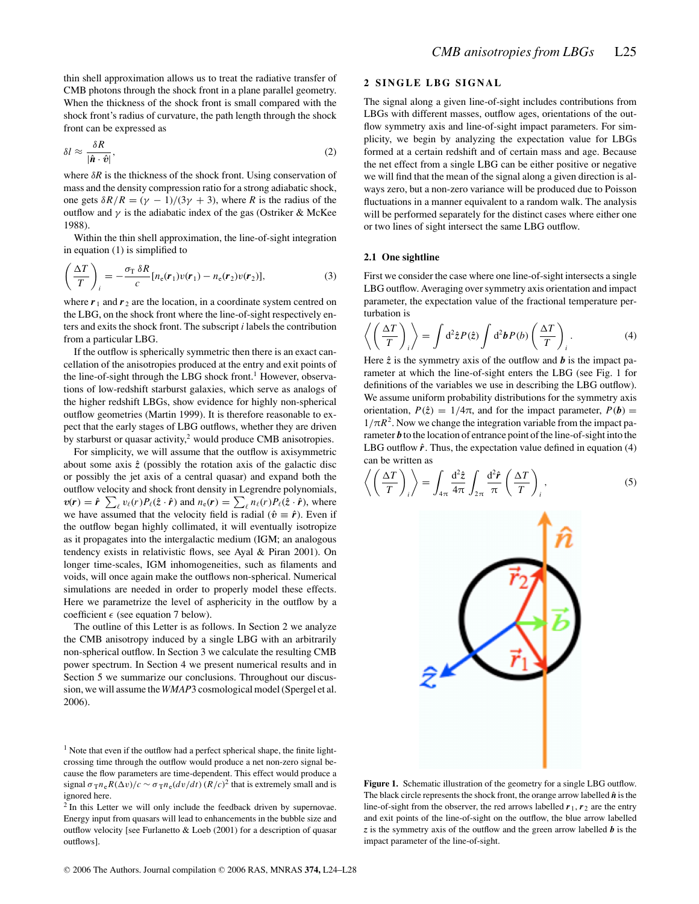thin shell approximation allows us to treat the radiative transfer of CMB photons through the shock front in a plane parallel geometry. When the thickness of the shock front is small compared with the shock front's radius of curvature, the path length through the shock front can be expressed as

$$
\delta l \approx \frac{\delta R}{|\hat{\boldsymbol{n}} \cdot \hat{\boldsymbol{v}}|},\tag{2}
$$

where  $\delta R$  is the thickness of the shock front. Using conservation of mass and the density compression ratio for a strong adiabatic shock, one gets  $\delta R/R = (\gamma - 1)/(3\gamma + 3)$ , where *R* is the radius of the outflow and  $\gamma$  is the adiabatic index of the gas (Ostriker & McKee 1988).

Within the thin shell approximation, the line-of-sight integration in equation (1) is simplified to

$$
\left(\frac{\Delta T}{T}\right)_i = -\frac{\sigma_\text{T} \,\delta R}{c} [n_\text{e}(\mathbf{r}_1)v(\mathbf{r}_1) - n_\text{e}(\mathbf{r}_2)v(\mathbf{r}_2)],\tag{3}
$$

where  $r_1$  and  $r_2$  are the location, in a coordinate system centred on the LBG, on the shock front where the line-of-sight respectively enters and exits the shock front. The subscript *i* labels the contribution from a particular LBG.

If the outflow is spherically symmetric then there is an exact cancellation of the anisotropies produced at the entry and exit points of the line-of-sight through the LBG shock front.<sup>1</sup> However, observations of low-redshift starburst galaxies, which serve as analogs of the higher redshift LBGs, show evidence for highly non-spherical outflow geometries (Martin 1999). It is therefore reasonable to expect that the early stages of LBG outflows, whether they are driven by starburst or quasar activity,<sup>2</sup> would produce CMB anisotropies.

For simplicity, we will assume that the outflow is axisymmetric about some axis  $\hat{z}$  (possibly the rotation axis of the galactic disc or possibly the jet axis of a central quasar) and expand both the outflow velocity and shock front density in Legrendre polynomials,  $v(r) = \hat{r} \sum_{\ell} v_{\ell}(r) P_{\ell}(\hat{z} \cdot \hat{r})$  and  $n_{e}(r) = \sum_{\ell} n_{\ell}(r) P_{\ell}(\hat{z} \cdot \hat{r})$ , where we have assumed that the velocity field is radial ( $\hat{v} \equiv \hat{r}$ ). Even if the outflow began highly collimated, it will eventually isotropize as it propagates into the intergalactic medium (IGM; an analogous tendency exists in relativistic flows, see Ayal & Piran 2001). On longer time-scales, IGM inhomogeneities, such as filaments and voids, will once again make the outflows non-spherical. Numerical simulations are needed in order to properly model these effects. Here we parametrize the level of asphericity in the outflow by a coefficient  $\epsilon$  (see equation 7 below).

The outline of this Letter is as follows. In Section 2 we analyze the CMB anisotropy induced by a single LBG with an arbitrarily non-spherical outflow. In Section 3 we calculate the resulting CMB power spectrum. In Section 4 we present numerical results and in Section 5 we summarize our conclusions. Throughout our discussion, we will assume the *WMAP*3 cosmological model (Spergel et al. 2006).

# **2 SINGLE LBG SIGNAL**

The signal along a given line-of-sight includes contributions from LBGs with different masses, outflow ages, orientations of the outflow symmetry axis and line-of-sight impact parameters. For simplicity, we begin by analyzing the expectation value for LBGs formed at a certain redshift and of certain mass and age. Because the net effect from a single LBG can be either positive or negative we will find that the mean of the signal along a given direction is always zero, but a non-zero variance will be produced due to Poisson fluctuations in a manner equivalent to a random walk. The analysis will be performed separately for the distinct cases where either one or two lines of sight intersect the same LBG outflow.

## **2.1 One sightline**

First we consider the case where one line-of-sight intersects a single LBG outflow. Averaging over symmetry axis orientation and impact parameter, the expectation value of the fractional temperature perturbation is

$$
\left\langle \left(\frac{\Delta T}{T}\right)_i \right\rangle = \int d^2 \hat{z} P(\hat{z}) \int d^2 b P(b) \left(\frac{\Delta T}{T}\right)_i.
$$
 (4)

Here  $\hat{z}$  is the symmetry axis of the outflow and  $\hat{b}$  is the impact parameter at which the line-of-sight enters the LBG (see Fig. 1 for definitions of the variables we use in describing the LBG outflow). We assume uniform probability distributions for the symmetry axis orientation,  $P(\hat{z}) = 1/4\pi$ , and for the impact parameter,  $P(\mathbf{b}) =$  $1/\pi R^2$ . Now we change the integration variable from the impact parameter *b* to the location of entrance point of the line-of-sight into the LBG outflow  $\hat{r}$ . Thus, the expectation value defined in equation (4) can be written as

$$
\left\langle \left(\frac{\Delta T}{T}\right)_i \right\rangle = \int_{4\pi} \frac{\mathrm{d}^2 \hat{z}}{4\pi} \int_{2\pi} \frac{\mathrm{d}^2 \hat{r}}{\pi} \left(\frac{\Delta T}{T}\right)_i, \tag{5}
$$



Figure 1. Schematic illustration of the geometry for a single LBG outflow. The black circle represents the shock front, the orange arrow labelled  $\hat{n}$  is the line-of-sight from the observer, the red arrows labelled  $r_1, r_2$  are the entry and exit points of the line-of-sight on the outflow, the blue arrow labelled *z* is the symmetry axis of the outflow and the green arrow labelled *b* is the impact parameter of the line-of-sight.

<sup>&</sup>lt;sup>1</sup> Note that even if the outflow had a perfect spherical shape, the finite lightcrossing time through the outflow would produce a net non-zero signal because the flow parameters are time-dependent. This effect would produce a signal  $\sigma_{\text{T}} n_e R(\Delta v)/c \sim \sigma_{\text{T}} n_e (dv/dt) (R/c)^2$  that is extremely small and is ignored here.

<sup>&</sup>lt;sup>2</sup> In this Letter we will only include the feedback driven by supernovae. Energy input from quasars will lead to enhancements in the bubble size and outflow velocity [see Furlanetto & Loeb (2001) for a description of quasar outflows].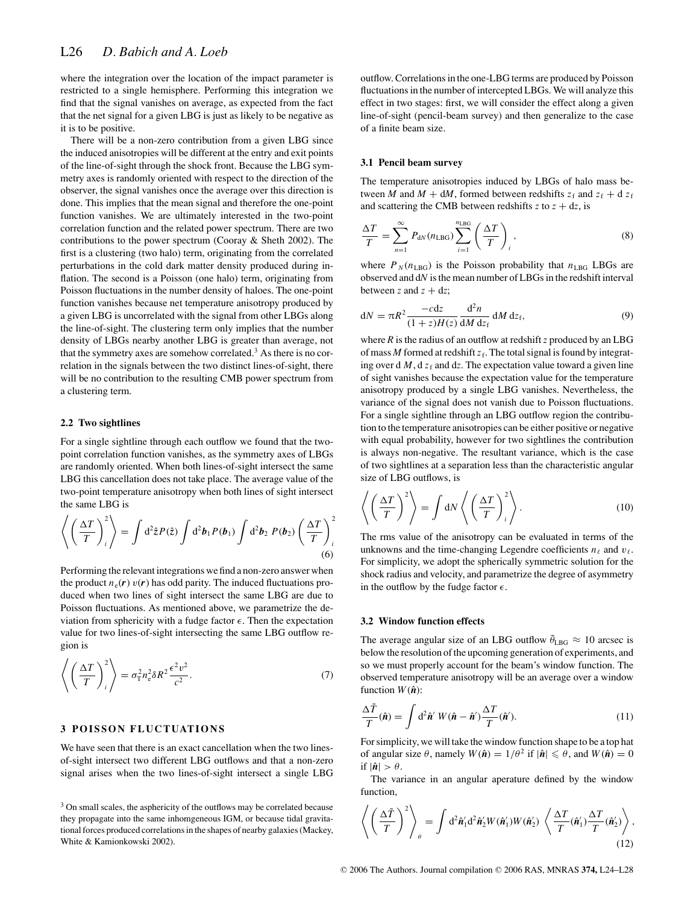where the integration over the location of the impact parameter is restricted to a single hemisphere. Performing this integration we find that the signal vanishes on average, as expected from the fact that the net signal for a given LBG is just as likely to be negative as it is to be positive.

There will be a non-zero contribution from a given LBG since the induced anisotropies will be different at the entry and exit points of the line-of-sight through the shock front. Because the LBG symmetry axes is randomly oriented with respect to the direction of the observer, the signal vanishes once the average over this direction is done. This implies that the mean signal and therefore the one-point function vanishes. We are ultimately interested in the two-point correlation function and the related power spectrum. There are two contributions to the power spectrum (Cooray & Sheth 2002). The first is a clustering (two halo) term, originating from the correlated perturbations in the cold dark matter density produced during inflation. The second is a Poisson (one halo) term, originating from Poisson fluctuations in the number density of haloes. The one-point function vanishes because net temperature anisotropy produced by a given LBG is uncorrelated with the signal from other LBGs along the line-of-sight. The clustering term only implies that the number density of LBGs nearby another LBG is greater than average, not that the symmetry axes are somehow correlated.<sup>3</sup> As there is no correlation in the signals between the two distinct lines-of-sight, there will be no contribution to the resulting CMB power spectrum from a clustering term.

#### **2.2 Two sightlines**

For a single sightline through each outflow we found that the twopoint correlation function vanishes, as the symmetry axes of LBGs are randomly oriented. When both lines-of-sight intersect the same LBG this cancellation does not take place. The average value of the two-point temperature anisotropy when both lines of sight intersect the same LBG is

$$
\left\langle \left(\frac{\Delta T}{T}\right)_i^2 \right\rangle = \int d^2 \hat{z} P(\hat{z}) \int d^2 \mathbf{b}_1 P(\mathbf{b}_1) \int d^2 \mathbf{b}_2 P(\mathbf{b}_2) \left(\frac{\Delta T}{T}\right)_i^2
$$
\n(6)

Performing the relevant integrations we find a non-zero answer when the product  $n_e(r) v(r)$  has odd parity. The induced fluctuations produced when two lines of sight intersect the same LBG are due to Poisson fluctuations. As mentioned above, we parametrize the deviation from sphericity with a fudge factor  $\epsilon$ . Then the expectation value for two lines-of-sight intersecting the same LBG outflow region is

$$
\left\langle \left(\frac{\Delta T}{T}\right)_i^2 \right\rangle = \sigma_\text{T}^2 n_\text{e}^2 \delta R^2 \frac{\epsilon^2 v^2}{c^2}.
$$
 (7)

# **3 POISSON FLUCTUATIONS**

We have seen that there is an exact cancellation when the two linesof-sight intersect two different LBG outflows and that a non-zero signal arises when the two lines-of-sight intersect a single LBG outflow. Correlations in the one-LBG terms are produced by Poisson fluctuations in the number of intercepted LBGs. We will analyze this effect in two stages: first, we will consider the effect along a given line-of-sight (pencil-beam survey) and then generalize to the case of a finite beam size.

#### **3.1 Pencil beam survey**

The temperature anisotropies induced by LBGs of halo mass between *M* and  $M + dM$ , formed between redshifts  $z_f$  and  $z_f + d z_f$ and scattering the CMB between redshifts  $z$  to  $z + dz$ , is

$$
\frac{\Delta T}{T} = \sum_{n=1}^{\infty} P_{\rm dN}(n_{\rm LBG}) \sum_{i=1}^{n_{\rm LBG}} \left(\frac{\Delta T}{T}\right)_i, \tag{8}
$$

where  $P_N(n_{\text{LBG}})$  is the Poisson probability that  $n_{\text{LBG}}$  LBGs are observed and d*N* is the mean number of LBGs in the redshift interval between *z* and  $z + dz$ ;

$$
dN = \pi R^2 \frac{-cdz}{(1+z)H(z)} \frac{d^2n}{dM dz_f} dM dz_f, \qquad (9)
$$

where  $R$  is the radius of an outflow at redshift  $z$  produced by an LBG of mass  $M$  formed at redshift  $z_f$ . The total signal is found by integrating over d  $M$ , d  $z_f$  and dz. The expectation value toward a given line of sight vanishes because the expectation value for the temperature anisotropy produced by a single LBG vanishes. Nevertheless, the variance of the signal does not vanish due to Poisson fluctuations. For a single sightline through an LBG outflow region the contribution to the temperature anisotropies can be either positive or negative with equal probability, however for two sightlines the contribution is always non-negative. The resultant variance, which is the case of two sightlines at a separation less than the characteristic angular size of LBG outflows, is

$$
\left\langle \left(\frac{\Delta T}{T}\right)^2 \right\rangle = \int dN \left\langle \left(\frac{\Delta T}{T}\right)^2 \right\rangle. \tag{10}
$$

The rms value of the anisotropy can be evaluated in terms of the unknowns and the time-changing Legendre coefficients  $n_{\ell}$  and  $v_{\ell}$ . For simplicity, we adopt the spherically symmetric solution for the shock radius and velocity, and parametrize the degree of asymmetry in the outflow by the fudge factor  $\epsilon$ .

## **3.2 Window function effects**

The average angular size of an LBG outflow  $\bar{\theta}_{LBG} \approx 10$  arcsec is below the resolution of the upcoming generation of experiments, and so we must properly account for the beam's window function. The observed temperature anisotropy will be an average over a window function  $W(\hat{\boldsymbol{n}})$ :

$$
\frac{\Delta \tilde{T}}{T}(\hat{\boldsymbol{n}}) = \int d^2 \hat{\boldsymbol{n}}' W(\hat{\boldsymbol{n}} - \hat{\boldsymbol{n}}') \frac{\Delta T}{T}(\hat{\boldsymbol{n}}').
$$
\n(11)

For simplicity, we will take the window function shape to be a top hat of angular size  $\theta$ , namely  $W(\hat{\boldsymbol{n}}) = 1/\theta^2$  if  $|\hat{\boldsymbol{n}}| \le \theta$ , and  $W(\hat{\boldsymbol{n}}) = 0$ if  $|\hat{\boldsymbol{n}}| > \theta$ .

The variance in an angular aperature defined by the window function,

$$
\left\langle \left(\frac{\Delta \tilde{T}}{T}\right)^2 \right\rangle_{\theta} = \int d^2 \hat{\boldsymbol{n}}_1 d^2 \hat{\boldsymbol{n}}_2 W(\hat{\boldsymbol{n}}_1) W(\hat{\boldsymbol{n}}_2') \left\langle \frac{\Delta T}{T}(\hat{\boldsymbol{n}}_1') \frac{\Delta T}{T}(\hat{\boldsymbol{n}}_2') \right\rangle, \tag{12}
$$

 $3$  On small scales, the asphericity of the outflows may be correlated because they propagate into the same inhomgeneous IGM, or because tidal gravitational forces produced correlations in the shapes of nearby galaxies (Mackey, White & Kamionkowski 2002).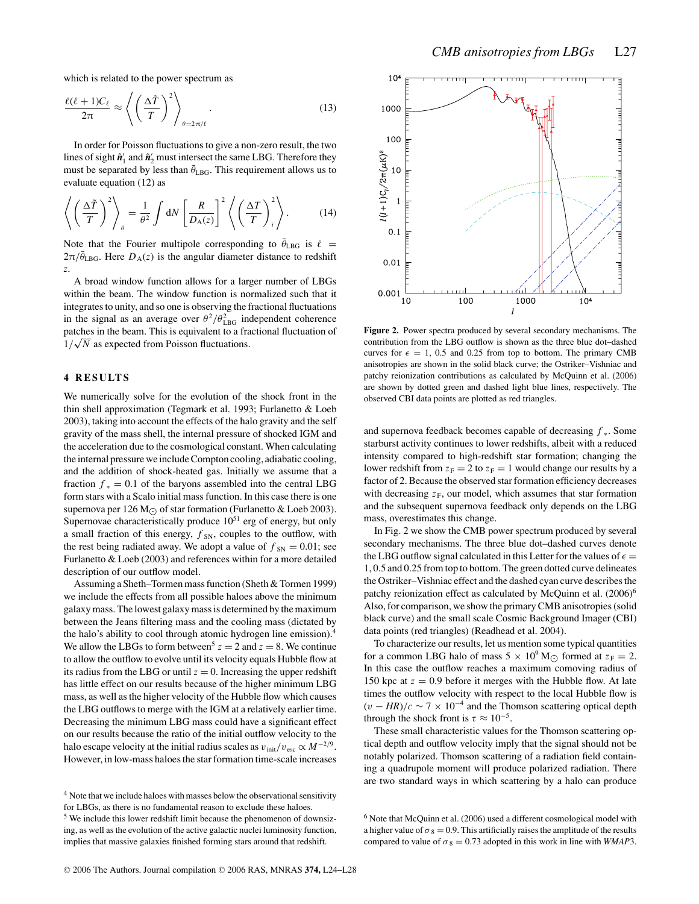which is related to the power spectrum as

$$
\frac{\ell(\ell+1)C_{\ell}}{2\pi} \approx \left\langle \left(\frac{\Delta\tilde{T}}{T}\right)^2 \right\rangle_{\theta=2\pi/\ell}.
$$
 (13)

In order for Poisson fluctuations to give a non-zero result, the two lines of sight  $\hat{\mathbf{n}}_1'$  and  $\hat{\mathbf{n}}_2'$  must intersect the same LBG. Therefore they must be separated by less than  $\bar{\theta}_{\text{LBG}}$ . This requirement allows us to evaluate equation (12) as

$$
\left\langle \left(\frac{\Delta \tilde{T}}{T}\right)^2 \right\rangle_{\theta} = \frac{1}{\theta^2} \int dN \left[ \frac{R}{D_{\rm A}(z)} \right]^2 \left\langle \left(\frac{\Delta T}{T}\right)^2 \right\rangle. \tag{14}
$$

Note that the Fourier multipole corresponding to  $\bar{\theta}_{LBG}$  is  $\ell =$  $2\pi/\bar{\theta}_{\text{LBG}}$ . Here  $D_{\text{A}}(z)$  is the angular diameter distance to redshift *z*.

A broad window function allows for a larger number of LBGs within the beam. The window function is normalized such that it integrates to unity, and so one is observing the fractional fluctuations in the signal as an average over  $\theta^2/\theta_{\text{LBG}}^2$  independent coherence patches in the beam. This is equivalent to a fractional fluctuation of  $1/\sqrt{N}$  as expected from Poisson fluctuations.

# **4 RESULTS**

We numerically solve for the evolution of the shock front in the thin shell approximation (Tegmark et al. 1993; Furlanetto & Loeb 2003), taking into account the effects of the halo gravity and the self gravity of the mass shell, the internal pressure of shocked IGM and the acceleration due to the cosmological constant. When calculating the internal pressure we include Compton cooling, adiabatic cooling, and the addition of shock-heated gas. Initially we assume that a fraction  $f_* = 0.1$  of the baryons assembled into the central LBG form stars with a Scalo initial mass function. In this case there is one supernova per 126 M<sub> $\odot$ </sub> of star formation (Furlanetto & Loeb 2003). Supernovae characteristically produce  $10<sup>51</sup>$  erg of energy, but only a small fraction of this energy,  $f_{SN}$ , couples to the outflow, with the rest being radiated away. We adopt a value of  $f_{SN} = 0.01$ ; see Furlanetto & Loeb (2003) and references within for a more detailed description of our outflow model.

Assuming a Sheth–Tormen mass function (Sheth & Tormen 1999) we include the effects from all possible haloes above the minimum galaxy mass. The lowest galaxy mass is determined by the maximum between the Jeans filtering mass and the cooling mass (dictated by the halo's ability to cool through atomic hydrogen line emission).<sup>4</sup> We allow the LBGs to form between<sup>5</sup>  $z = 2$  and  $z = 8$ . We continue to allow the outflow to evolve until its velocity equals Hubble flow at its radius from the LBG or until  $z = 0$ . Increasing the upper redshift has little effect on our results because of the higher minimum LBG mass, as well as the higher velocity of the Hubble flow which causes the LBG outflows to merge with the IGM at a relatively earlier time. Decreasing the minimum LBG mass could have a significant effect on our results because the ratio of the initial outflow velocity to the halo escape velocity at the initial radius scales as  $v_{\text{init}}/v_{\text{esc}} \propto M^{-2/9}$ . However, in low-mass haloes the star formation time-scale increases



**Figure 2.** Power spectra produced by several secondary mechanisms. The contribution from the LBG outflow is shown as the three blue dot–dashed curves for  $\epsilon = 1$ , 0.5 and 0.25 from top to bottom. The primary CMB anisotropies are shown in the solid black curve; the Ostriker–Vishniac and patchy reionization contributions as calculated by McQuinn et al. (2006) are shown by dotted green and dashed light blue lines, respectively. The observed CBI data points are plotted as red triangles.

and supernova feedback becomes capable of decreasing *f* <sup>∗</sup>. Some starburst activity continues to lower redshifts, albeit with a reduced intensity compared to high-redshift star formation; changing the lower redshift from  $z_F = 2$  to  $z_F = 1$  would change our results by a factor of 2. Because the observed star formation efficiency decreases with decreasing  $z_F$ , our model, which assumes that star formation and the subsequent supernova feedback only depends on the LBG mass, overestimates this change.

In Fig. 2 we show the CMB power spectrum produced by several secondary mechanisms. The three blue dot–dashed curves denote the LBG outflow signal calculated in this Letter for the values of  $\epsilon =$ 1, 0.5 and 0.25 from top to bottom. The green dotted curve delineates the Ostriker–Vishniac effect and the dashed cyan curve describes the patchy reionization effect as calculated by McQuinn et al. (2006)<sup>6</sup> Also, for comparison, we show the primary CMB anisotropies (solid black curve) and the small scale Cosmic Background Imager (CBI) data points (red triangles) (Readhead et al. 2004).

To characterize our results, let us mention some typical quantities for a common LBG halo of mass  $5 \times 10^9$  M<sub> $\odot$ </sub> formed at  $z_F = 2$ . In this case the outflow reaches a maximum comoving radius of 150 kpc at  $z = 0.9$  before it merges with the Hubble flow. At late times the outflow velocity with respect to the local Hubble flow is  $(v - HR)/c \sim 7 \times 10^{-4}$  and the Thomson scattering optical depth through the shock front is  $\tau \approx 10^{-5}$ .

These small characteristic values for the Thomson scattering optical depth and outflow velocity imply that the signal should not be notably polarized. Thomson scattering of a radiation field containing a quadrupole moment will produce polarized radiation. There are two standard ways in which scattering by a halo can produce

<sup>&</sup>lt;sup>4</sup> Note that we include haloes with masses below the observational sensitivity for LBGs, as there is no fundamental reason to exclude these haloes.

<sup>5</sup> We include this lower redshift limit because the phenomenon of downsizing, as well as the evolution of the active galactic nuclei luminosity function, implies that massive galaxies finished forming stars around that redshift.

<sup>6</sup> Note that McQuinn et al. (2006) used a different cosmological model with a higher value of  $\sigma_8 = 0.9$ . This artificially raises the amplitude of the results compared to value of  $\sigma_8 = 0.73$  adopted in this work in line with *WMAP*3.